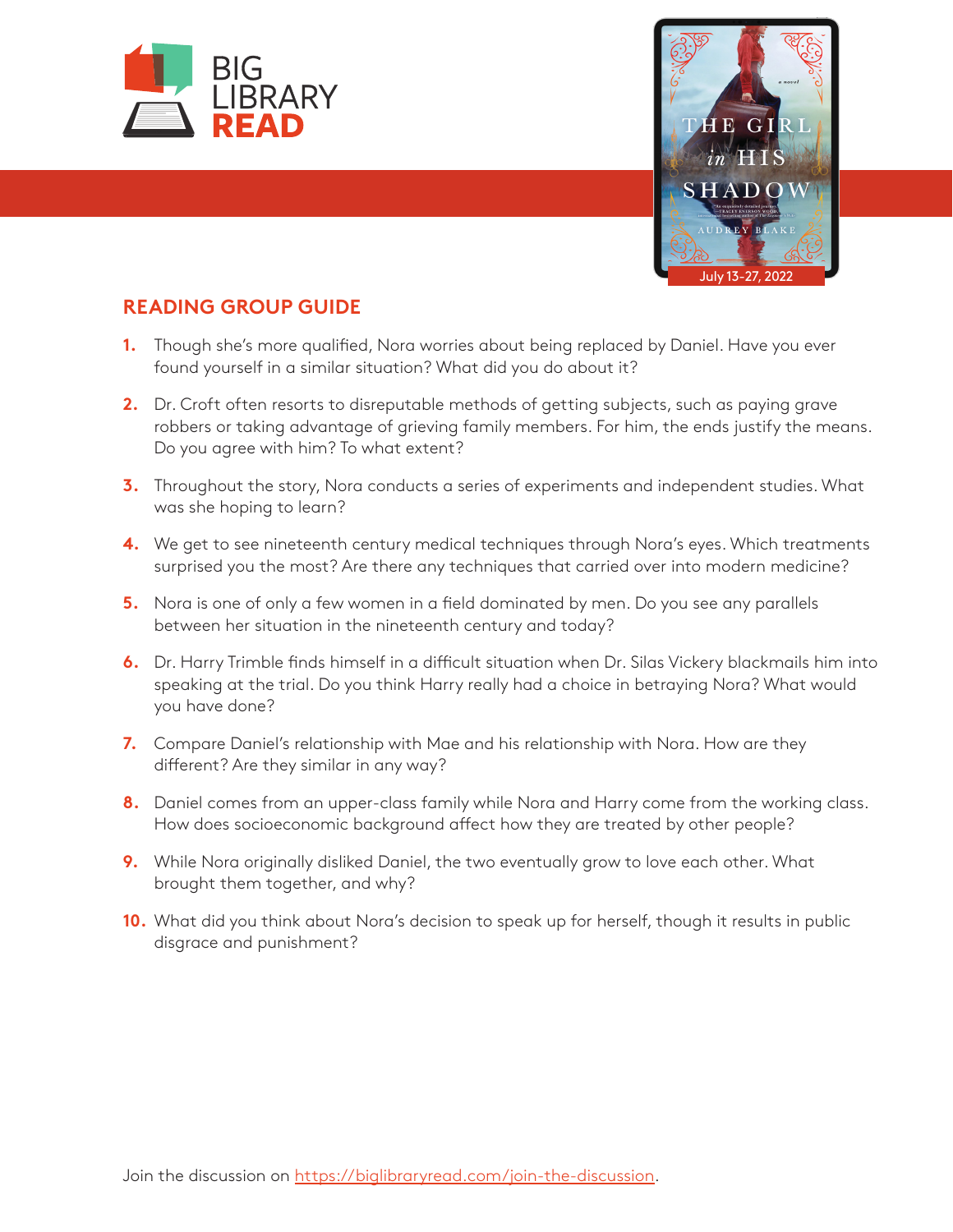



## **READING GROUP GUIDE**

- **1.** Though she's more qualified, Nora worries about being replaced by Daniel. Have you ever found yourself in a similar situation? What did you do about it?
- **2.** Dr. Croft often resorts to disreputable methods of getting subjects, such as paying grave robbers or taking advantage of grieving family members. For him, the ends justify the means. Do you agree with him? To what extent?
- **3.** Throughout the story, Nora conducts a series of experiments and independent studies. What was she hoping to learn?
- **4.** We get to see nineteenth century medical techniques through Nora's eyes. Which treatments surprised you the most? Are there any techniques that carried over into modern medicine?
- **5.** Nora is one of only a few women in a field dominated by men. Do you see any parallels between her situation in the nineteenth century and today?
- **6.** Dr. Harry Trimble finds himself in a difficult situation when Dr. Silas Vickery blackmails him into speaking at the trial. Do you think Harry really had a choice in betraying Nora? What would you have done?
- **7.** Compare Daniel's relationship with Mae and his relationship with Nora. How are they different? Are they similar in any way?
- **8.** Daniel comes from an upper-class family while Nora and Harry come from the working class. How does socioeconomic background affect how they are treated by other people?
- **9.** While Nora originally disliked Daniel, the two eventually grow to love each other. What brought them together, and why?
- **10.** What did you think about Nora's decision to speak up for herself, though it results in public disgrace and punishment?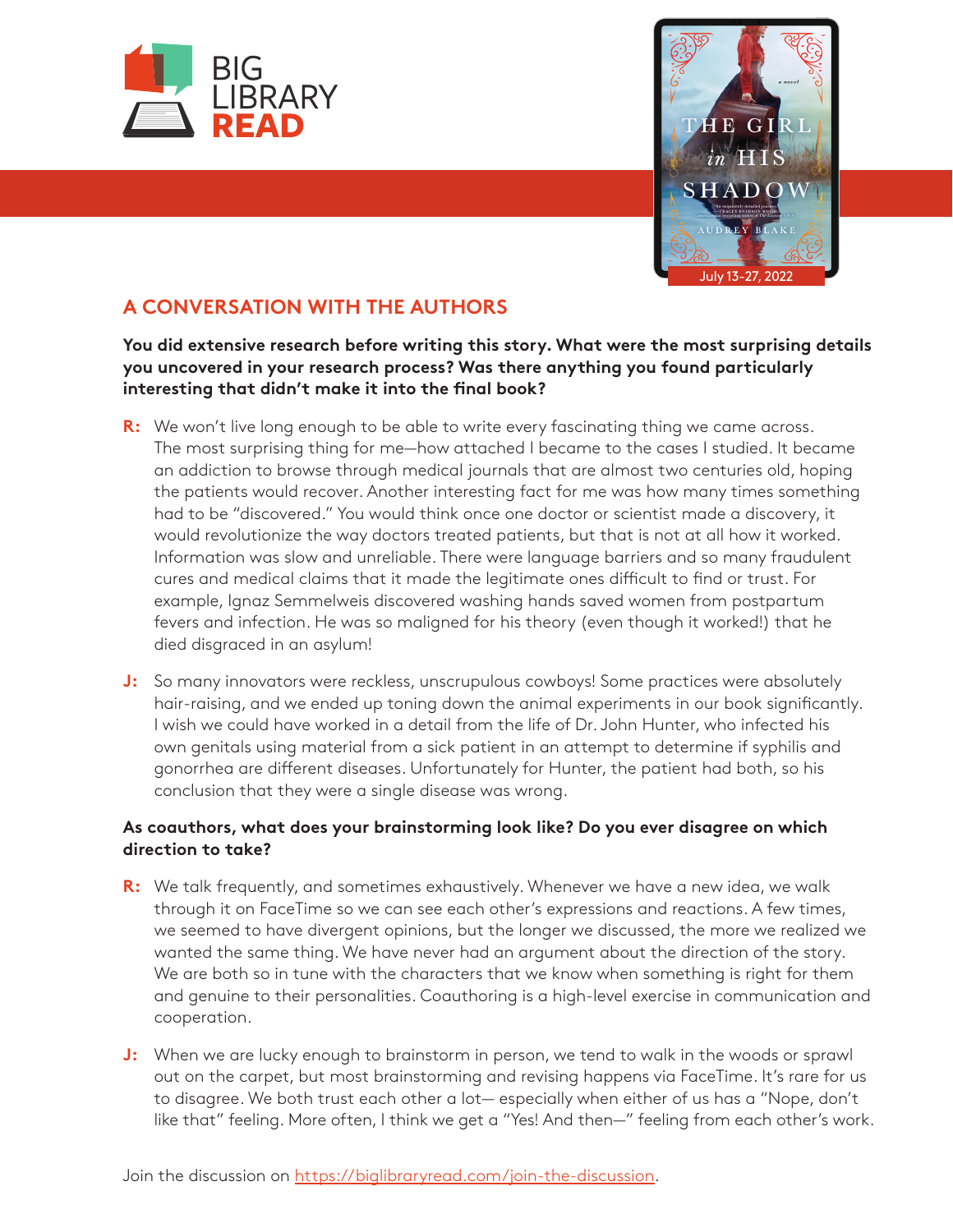



# **A CONVERSATION WITH THE AUTHORS**

**You did extensive research before writing this story. What were the most surprising details you uncovered in your research process? Was there anything you found particularly interesting that didn't make it into the final book?**

- **R:** We won't live long enough to be able to write every fascinating thing we came across. The most surprising thing for me—how attached I became to the cases I studied. It became an addiction to browse through medical journals that are almost two centuries old, hoping the patients would recover. Another interesting fact for me was how many times something had to be "discovered." You would think once one doctor or scientist made a discovery, it would revolutionize the way doctors treated patients, but that is not at all how it worked. Information was slow and unreliable. There were language barriers and so many fraudulent cures and medical claims that it made the legitimate ones difficult to find or trust. For example, Ignaz Semmelweis discovered washing hands saved women from postpartum fevers and infection. He was so maligned for his theory (even though it worked!) that he died disgraced in an asylum!
- **J:** So many innovators were reckless, unscrupulous cowboys! Some practices were absolutely hair-raising, and we ended up toning down the animal experiments in our book significantly. I wish we could have worked in a detail from the life of Dr. John Hunter, who infected his own genitals using material from a sick patient in an attempt to determine if syphilis and gonorrhea are different diseases. Unfortunately for Hunter, the patient had both, so his conclusion that they were a single disease was wrong.

### **As coauthors, what does your brainstorming look like? Do you ever disagree on which direction to take?**

- **R:** We talk frequently, and sometimes exhaustively. Whenever we have a new idea, we walk through it on FaceTime so we can see each other's expressions and reactions. A few times, we seemed to have divergent opinions, but the longer we discussed, the more we realized we wanted the same thing. We have never had an argument about the direction of the story. We are both so in tune with the characters that we know when something is right for them and genuine to their personalities. Coauthoring is a high-level exercise in communication and cooperation.
- **J:** When we are lucky enough to brainstorm in person, we tend to walk in the woods or sprawl out on the carpet, but most brainstorming and revising happens via FaceTime. It's rare for us to disagree. We both trust each other a lot— especially when either of us has a "Nope, don't like that" feeling. More often, I think we get a "Yes! And then—" feeling from each other's work.